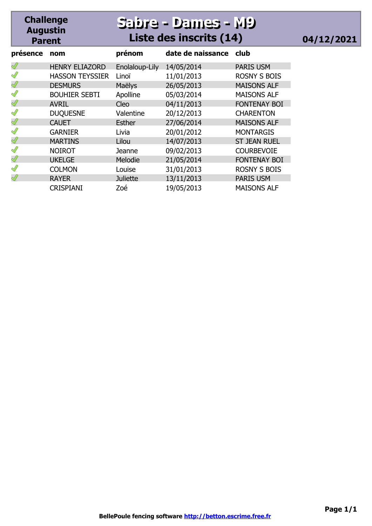## **Sabre - Dames - M9 Sabre - Dames - M9 Liste des inscrits (14) 04/12/2021**

| présence      | nom                    | prénom          | date de naissance | club                |
|---------------|------------------------|-----------------|-------------------|---------------------|
| Ï             | <b>HENRY ELIAZORD</b>  | Enolaloup-Lily  | 14/05/2014        | <b>PARIS USM</b>    |
| $\mathscr{Q}$ | <b>HASSON TEYSSIER</b> | Linoï           | 11/01/2013        | <b>ROSNY S BOIS</b> |
| Ï             | <b>DESMURS</b>         | Maëlys          | 26/05/2013        | <b>MAISONS ALF</b>  |
| $\mathscr{Q}$ | <b>BOUHIER SEBTI</b>   | Apolline        | 05/03/2014        | <b>MAISONS ALF</b>  |
| Ï             | <b>AVRIL</b>           | Cleo            | 04/11/2013        | <b>FONTENAY BOI</b> |
| $\mathscr{Q}$ | <b>DUQUESNE</b>        | Valentine       | 20/12/2013        | <b>CHARENTON</b>    |
| Ï             | <b>CAUET</b>           | <b>Esther</b>   | 27/06/2014        | <b>MAISONS ALF</b>  |
| $\mathscr{Q}$ | <b>GARNIER</b>         | Livia           | 20/01/2012        | <b>MONTARGIS</b>    |
| ∜             | <b>MARTINS</b>         | Lilou           | 14/07/2013        | <b>ST JEAN RUEL</b> |
| ∜             | <b>NOIROT</b>          | Jeanne          | 09/02/2013        | <b>COURBEVOIE</b>   |
| Ï             | <b>UKELGE</b>          | Melodie         | 21/05/2014        | <b>FONTENAY BOI</b> |
| $\mathscr{Q}$ | <b>COLMON</b>          | Louise          | 31/01/2013        | <b>ROSNY S BOIS</b> |
| ∜             | <b>RAYER</b>           | <b>Juliette</b> | 13/11/2013        | <b>PARIS USM</b>    |
|               | <b>CRISPIANI</b>       | Zoé             | 19/05/2013        | <b>MAISONS ALF</b>  |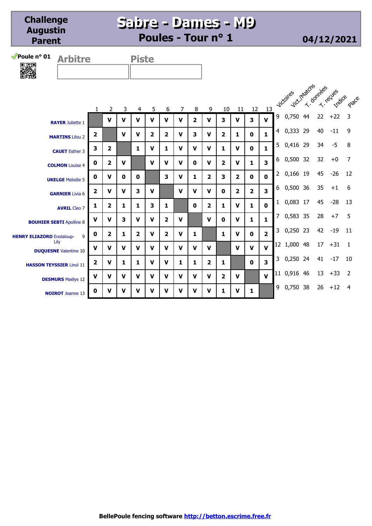**Sabre - Dames - M9 Sabre - Dames - M9 Poules - Tour n° 1 04/12/2021**



| rbitre | <b>Piste</b> |
|--------|--------------|
|        |              |

|                                       |                         |                |                         |                |              |                         |             |              |                         |                         |                         |                |                         |                | Vict.Inacches<br>Victories |    | T-Teches<br>Indice |                |
|---------------------------------------|-------------------------|----------------|-------------------------|----------------|--------------|-------------------------|-------------|--------------|-------------------------|-------------------------|-------------------------|----------------|-------------------------|----------------|----------------------------|----|--------------------|----------------|
|                                       | 1.                      | 2              | 3                       | 4              | 5            | 6                       | 7           | 8            | 9                       | 10                      | 11                      | 12             | 13                      |                |                            |    |                    | Place          |
| <b>RAYER Juliette 1</b>               |                         | $\mathbf v$    | V                       | $\mathbf v$    | $\mathbf v$  | V                       | $\mathbf v$ | $\mathbf{2}$ | $\mathbf v$             | 3                       | $\mathbf v$             | 3              | $\mathbf{V}$            | 9              | 0,750 44                   | 22 | $+22$              | 3              |
| <b>MARTINS Lilou 2</b>                | $\overline{2}$          |                | $\mathbf v$             | $\mathbf v$    | 2            | $\overline{\mathbf{2}}$ | $\mathbf v$ | 3            | $\mathbf v$             | $\overline{2}$          | 1                       | $\mathbf{0}$   | $\mathbf{1}$            | 4              | 0,333 29                   | 40 | $-11$              | 9              |
| <b>CAUET</b> Esther 3                 | 3                       | $\overline{2}$ |                         | 1              | $\mathbf v$  | $\mathbf{1}$            | $\mathbf v$ | $\mathbf v$  | $\mathbf v$             | 1                       | $\mathbf v$             | $\mathbf{0}$   | $\mathbf{1}$            | 5              | 0,416 29                   | 34 | $-5$               | 8              |
| <b>COLMON Louise 4</b>                | $\mathbf{0}$            | $\mathbf{2}$   | V                       |                | $\mathbf v$  | $\mathbf v$             | $\mathbf v$ | $\mathbf{0}$ | $\mathbf v$             | $\overline{\mathbf{2}}$ | $\mathbf v$             | 1              | $\overline{\mathbf{3}}$ | 6              | 0,500 32                   | 32 | $+0$               | 7              |
| <b>UKELGE Melodie 5</b>               | 0                       | V              | $\bf{0}$                | $\mathbf{0}$   |              | 3                       | $\mathbf v$ | 1            | $\overline{\mathbf{2}}$ | 3                       | $\overline{2}$          | $\mathbf{0}$   | $\mathbf{0}$            | $\overline{2}$ | 0,166 19                   | 45 | $-26$              | 12             |
|                                       | $\mathbf{z}$            | V              | $\mathbf v$             | 3              | $\mathbf v$  |                         | $\mathbf v$ | $\mathbf v$  | $\mathbf v$             | 0                       | $\overline{\mathbf{2}}$ | $\overline{2}$ | $\overline{\mathbf{3}}$ | 6              | 0,500 36                   | 35 | $+1$               | 6              |
| <b>GARNIER Livia 6</b>                |                         |                |                         |                |              |                         |             |              |                         |                         |                         |                |                         | 1              | 0,083 17                   | 45 | $-28$              | 13             |
| <b>AVRIL Cleo 7</b>                   | 1                       | $\mathbf{z}$   | $\mathbf{1}$            | 1              | 3            | 1                       |             | $\mathbf{0}$ | $\overline{\mathbf{2}}$ | 1                       | $\mathbf v$             | 1              | $\mathbf{0}$            |                |                            |    |                    |                |
| <b>BOUHIER SEBTI Apolline 8</b>       | $\mathbf v$             | V              | $\overline{\mathbf{3}}$ | $\mathbf v$    | $\mathbf{V}$ | $\overline{\mathbf{2}}$ | $\mathbf v$ |              | v                       | 0                       | $\mathbf v$             | 1.             | $\mathbf{1}$            | 7              | 0,583 35                   | 28 | $+7$               | - 5            |
| 9<br><b>HENRY ELIAZORD Enolaloup-</b> | 0                       | $\overline{2}$ | $\mathbf{1}$            | $\overline{2}$ | $\mathbf v$  | $\overline{\mathbf{2}}$ | $\mathbf v$ | 1            |                         | 1                       | $\mathbf v$             | $\mathbf{0}$   | $\overline{2}$          | 3              | 0,250 23                   | 42 | $-19$              | 11             |
| Lily<br><b>DUQUESNE</b> Valentine 10  | V                       | V              | $\mathbf v$             | $\mathbf v$    | $\mathbf v$  | $\mathbf v$             | $\mathbf v$ | $\mathbf v$  | $\mathbf v$             |                         | $\mathbf v$             | $\mathbf{v}$   | $\mathbf{v}$            | 12             | 1,000 48                   | 17 | $+31$              | $\overline{1}$ |
|                                       | $\overline{\mathbf{2}}$ | $\mathbf v$    | 1                       | 1              | $\mathbf v$  | $\mathbf v$             | 1           | 1            | $\overline{\mathbf{2}}$ | 1                       |                         | $\mathbf{0}$   | $\overline{\mathbf{3}}$ | 3              | 0,250 24                   | 41 | $-17$              | 10             |
| <b>HASSON TEYSSIER Linoï 11</b>       |                         |                |                         |                |              |                         |             |              |                         |                         |                         |                |                         | 11             | 0,916 46                   | 13 | $+33$              | $\overline{2}$ |
| <b>DESMURS</b> Maëlys 12              | $\mathbf v$             | $\mathbf v$    | $\mathbf v$             | v              | $\mathbf v$  | $\mathbf v$             | $\mathbf v$ | $\mathbf v$  | $\mathbf v$             | $\overline{\mathbf{2}}$ | $\mathbf v$             |                | $\mathbf{v}$            |                |                            |    |                    |                |
| <b>NOIROT</b> Jeanne 13               | $\mathbf 0$             | V              | $\mathbf v$             | $\mathbf v$    | $\mathbf v$  | v                       | $\mathbf v$ | v            | v                       | 1                       | $\mathbf v$             | 1              |                         | 9              | 0,750 38                   | 26 | $+12$              | 4              |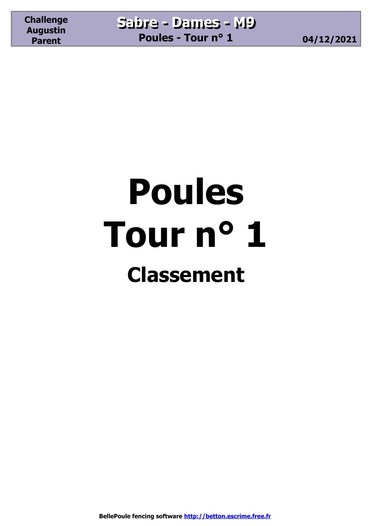## **Poules Tour n° 1 Classement**

**BellePoule fencing software http://betton.escrime.free.fr**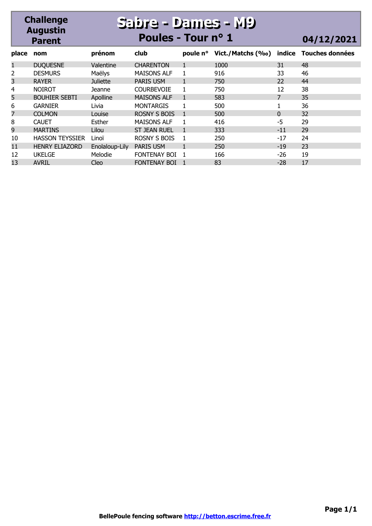#### **Challenge Augustin Parent Sabre - Dames - M9 Sabre - Dames - M9 Poules - Tour n° 1 04/12/2021 place nom prénom club poule n° Vict./Matchs (‰) indice Touches données**

| place | nom                    | prénom          | club                | poule n° | Vict./Matchs (%o) | indice | Touches données |
|-------|------------------------|-----------------|---------------------|----------|-------------------|--------|-----------------|
| 1     | <b>DUQUESNE</b>        | Valentine       | <b>CHARENTON</b>    |          | 1000              | 31     | 48              |
| 2     | <b>DESMURS</b>         | Maëlys          | <b>MAISONS ALF</b>  |          | 916               | 33     | 46              |
| 3     | <b>RAYER</b>           | <b>Juliette</b> | <b>PARIS USM</b>    |          | 750               | 22     | 44              |
| 4     | <b>NOIROT</b>          | Jeanne          | <b>COURBEVOIE</b>   |          | 750               | 12     | 38              |
| 5     | <b>BOUHIER SEBTI</b>   | Apolline        | <b>MAISONS ALF</b>  |          | 583               |        | 35              |
| 6     | <b>GARNIER</b>         | Livia           | <b>MONTARGIS</b>    |          | 500               |        | 36              |
| 7     | <b>COLMON</b>          | Louise          | <b>ROSNY S BOIS</b> |          | 500               | 0      | 32              |
| 8     | <b>CAUET</b>           | Esther          | <b>MAISONS ALF</b>  |          | 416               | -5     | 29              |
| 9     | <b>MARTINS</b>         | Lilou           | <b>ST JEAN RUEL</b> |          | 333               | $-11$  | 29              |
| 10    | <b>HASSON TEYSSIER</b> | Linoï           | ROSNY S BOIS        |          | 250               | -17    | 24              |
| 11    | <b>HENRY ELIAZORD</b>  | Enolaloup-Lily  | <b>PARIS USM</b>    |          | 250               | $-19$  | 23              |
| 12    | <b>UKELGE</b>          | Melodie         | FONTENAY BOI 1      |          | 166               | -26    | 19              |
| 13    | <b>AVRIL</b>           | Cleo            | <b>FONTENAY BOI</b> |          | 83                | $-28$  | 17              |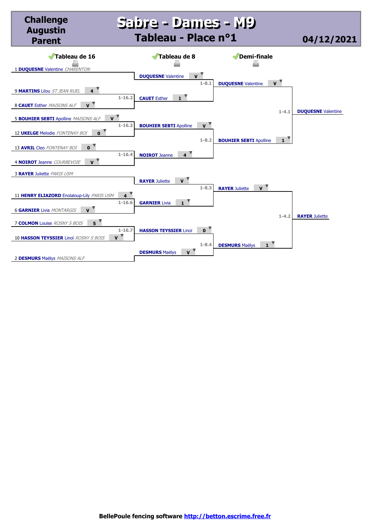### **Sabre - Dames - M9 Sabre - Dames - M9 Tableau - Place n°1 04/12/2021**



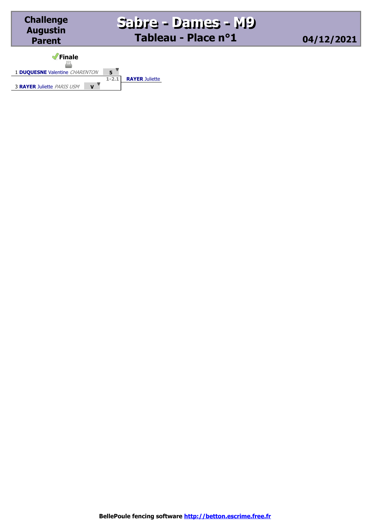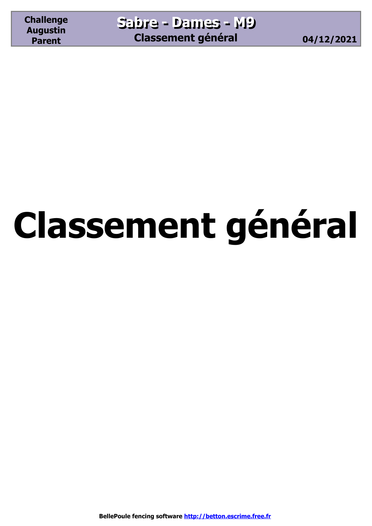# **Classement général**

**BellePoule fencing software http://betton.escrime.free.fr**